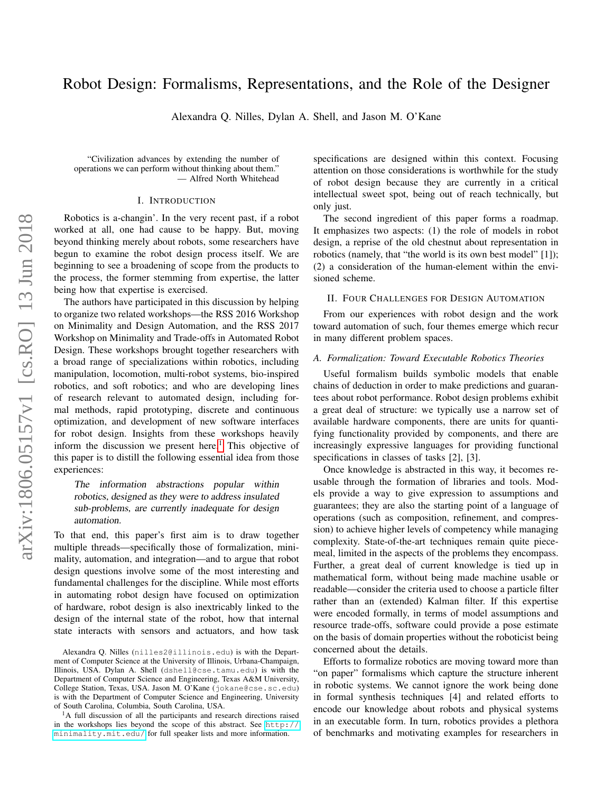# Robot Design: Formalisms, Representations, and the Role of the Designer

Alexandra Q. Nilles, Dylan A. Shell, and Jason M. O'Kane

"Civilization advances by extending the number of operations we can perform without thinking about them." — Alfred North Whitehead

#### I. INTRODUCTION

Robotics is a-changin'. In the very recent past, if a robot worked at all, one had cause to be happy. But, moving beyond thinking merely about robots, some researchers have begun to examine the robot design process itself. We are beginning to see a broadening of scope from the products to the process, the former stemming from expertise, the latter being how that expertise is exercised.

The authors have participated in this discussion by helping to organize two related workshops—the RSS 2016 Workshop on Minimality and Design Automation, and the RSS 2017 Workshop on Minimality and Trade-offs in Automated Robot Design. These workshops brought together researchers with a broad range of specializations within robotics, including manipulation, locomotion, multi-robot systems, bio-inspired robotics, and soft robotics; and who are developing lines of research relevant to automated design, including formal methods, rapid prototyping, discrete and continuous optimization, and development of new software interfaces for robot design. Insights from these workshops heavily inform the discussion we present here.<sup>[1](#page-0-0)</sup> This objective of this paper is to distill the following essential idea from those experiences:

## The information abstractions popular within robotics, designed as they were to address insulated sub-problems, are currently inadequate for design automation.

To that end, this paper's first aim is to draw together multiple threads—specifically those of formalization, minimality, automation, and integration—and to argue that robot design questions involve some of the most interesting and fundamental challenges for the discipline. While most efforts in automating robot design have focused on optimization of hardware, robot design is also inextricably linked to the design of the internal state of the robot, how that internal state interacts with sensors and actuators, and how task specifications are designed within this context. Focusing attention on those considerations is worthwhile for the study of robot design because they are currently in a critical intellectual sweet spot, being out of reach technically, but only just.

The second ingredient of this paper forms a roadmap. It emphasizes two aspects: (1) the role of models in robot design, a reprise of the old chestnut about representation in robotics (namely, that "the world is its own best model" [1]); (2) a consideration of the human-element within the envisioned scheme.

### II. FOUR CHALLENGES FOR DESIGN AUTOMATION

From our experiences with robot design and the work toward automation of such, four themes emerge which recur in many different problem spaces.

### *A. Formalization: Toward Executable Robotics Theories*

Useful formalism builds symbolic models that enable chains of deduction in order to make predictions and guarantees about robot performance. Robot design problems exhibit a great deal of structure: we typically use a narrow set of available hardware components, there are units for quantifying functionality provided by components, and there are increasingly expressive languages for providing functional specifications in classes of tasks [2], [3].

Once knowledge is abstracted in this way, it becomes reusable through the formation of libraries and tools. Models provide a way to give expression to assumptions and guarantees; they are also the starting point of a language of operations (such as composition, refinement, and compression) to achieve higher levels of competency while managing complexity. State-of-the-art techniques remain quite piecemeal, limited in the aspects of the problems they encompass. Further, a great deal of current knowledge is tied up in mathematical form, without being made machine usable or readable—consider the criteria used to choose a particle filter rather than an (extended) Kalman filter. If this expertise were encoded formally, in terms of model assumptions and resource trade-offs, software could provide a pose estimate on the basis of domain properties without the roboticist being concerned about the details.

Efforts to formalize robotics are moving toward more than "on paper" formalisms which capture the structure inherent in robotic systems. We cannot ignore the work being done in formal synthesis techniques [4] and related efforts to encode our knowledge about robots and physical systems in an executable form. In turn, robotics provides a plethora of benchmarks and motivating examples for researchers in

Alexandra Q. Nilles (nilles2@illinois.edu) is with the Department of Computer Science at the University of Illinois, Urbana-Champaign, Illinois, USA. Dylan A. Shell (dshell@cse.tamu.edu) is with the Department of Computer Science and Engineering, Texas A&M University, College Station, Texas, USA. Jason M. O'Kane (jokane@cse.sc.edu) is with the Department of Computer Science and Engineering, University of South Carolina, Columbia, South Carolina, USA.

<span id="page-0-0"></span><sup>&</sup>lt;sup>1</sup>A full discussion of all the participants and research directions raised in the workshops lies beyond the scope of this abstract. See [http://](http://minimality.mit.edu/) [minimality.mit.edu/](http://minimality.mit.edu/) for full speaker lists and more information.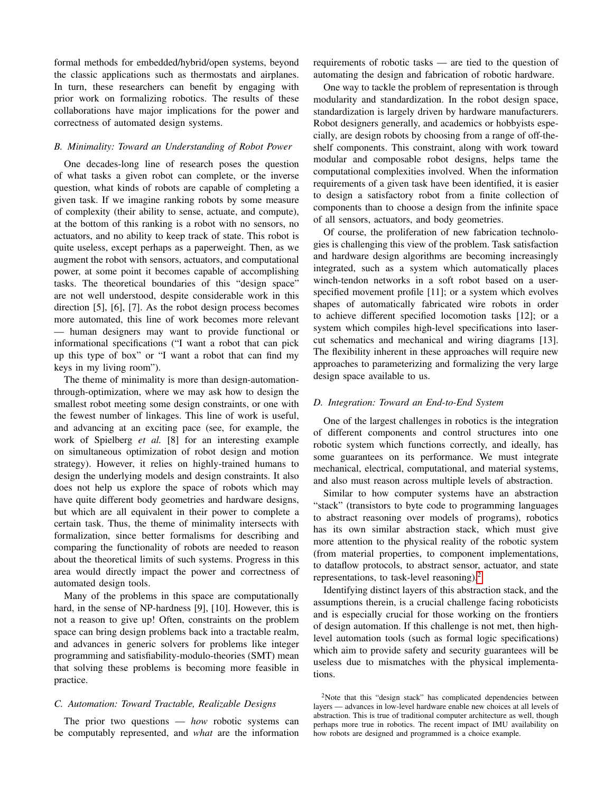formal methods for embedded/hybrid/open systems, beyond the classic applications such as thermostats and airplanes. In turn, these researchers can benefit by engaging with prior work on formalizing robotics. The results of these collaborations have major implications for the power and correctness of automated design systems.

## *B. Minimality: Toward an Understanding of Robot Power*

One decades-long line of research poses the question of what tasks a given robot can complete, or the inverse question, what kinds of robots are capable of completing a given task. If we imagine ranking robots by some measure of complexity (their ability to sense, actuate, and compute), at the bottom of this ranking is a robot with no sensors, no actuators, and no ability to keep track of state. This robot is quite useless, except perhaps as a paperweight. Then, as we augment the robot with sensors, actuators, and computational power, at some point it becomes capable of accomplishing tasks. The theoretical boundaries of this "design space" are not well understood, despite considerable work in this direction [5], [6], [7]. As the robot design process becomes more automated, this line of work becomes more relevant — human designers may want to provide functional or informational specifications ("I want a robot that can pick up this type of box" or "I want a robot that can find my keys in my living room").

The theme of minimality is more than design-automationthrough-optimization, where we may ask how to design the smallest robot meeting some design constraints, or one with the fewest number of linkages. This line of work is useful, and advancing at an exciting pace (see, for example, the work of Spielberg *et al.* [8] for an interesting example on simultaneous optimization of robot design and motion strategy). However, it relies on highly-trained humans to design the underlying models and design constraints. It also does not help us explore the space of robots which may have quite different body geometries and hardware designs, but which are all equivalent in their power to complete a certain task. Thus, the theme of minimality intersects with formalization, since better formalisms for describing and comparing the functionality of robots are needed to reason about the theoretical limits of such systems. Progress in this area would directly impact the power and correctness of automated design tools.

Many of the problems in this space are computationally hard, in the sense of NP-hardness [9], [10]. However, this is not a reason to give up! Often, constraints on the problem space can bring design problems back into a tractable realm, and advances in generic solvers for problems like integer programming and satisfiability-modulo-theories (SMT) mean that solving these problems is becoming more feasible in practice.

## *C. Automation: Toward Tractable, Realizable Designs*

The prior two questions — *how* robotic systems can be computably represented, and *what* are the information requirements of robotic tasks — are tied to the question of automating the design and fabrication of robotic hardware.

One way to tackle the problem of representation is through modularity and standardization. In the robot design space, standardization is largely driven by hardware manufacturers. Robot designers generally, and academics or hobbyists especially, are design robots by choosing from a range of off-theshelf components. This constraint, along with work toward modular and composable robot designs, helps tame the computational complexities involved. When the information requirements of a given task have been identified, it is easier to design a satisfactory robot from a finite collection of components than to choose a design from the infinite space of all sensors, actuators, and body geometries.

Of course, the proliferation of new fabrication technologies is challenging this view of the problem. Task satisfaction and hardware design algorithms are becoming increasingly integrated, such as a system which automatically places winch-tendon networks in a soft robot based on a userspecified movement profile [11]; or a system which evolves shapes of automatically fabricated wire robots in order to achieve different specified locomotion tasks [12]; or a system which compiles high-level specifications into lasercut schematics and mechanical and wiring diagrams [13]. The flexibility inherent in these approaches will require new approaches to parameterizing and formalizing the very large design space available to us.

## *D. Integration: Toward an End-to-End System*

One of the largest challenges in robotics is the integration of different components and control structures into one robotic system which functions correctly, and ideally, has some guarantees on its performance. We must integrate mechanical, electrical, computational, and material systems, and also must reason across multiple levels of abstraction.

Similar to how computer systems have an abstraction "stack" (transistors to byte code to programming languages to abstract reasoning over models of programs), robotics has its own similar abstraction stack, which must give more attention to the physical reality of the robotic system (from material properties, to component implementations, to dataflow protocols, to abstract sensor, actuator, and state representations, to task-level reasoning).[2](#page-1-0)

Identifying distinct layers of this abstraction stack, and the assumptions therein, is a crucial challenge facing roboticists and is especially crucial for those working on the frontiers of design automation. If this challenge is not met, then highlevel automation tools (such as formal logic specifications) which aim to provide safety and security guarantees will be useless due to mismatches with the physical implementations.

<span id="page-1-0"></span><sup>&</sup>lt;sup>2</sup>Note that this "design stack" has complicated dependencies between layers — advances in low-level hardware enable new choices at all levels of abstraction. This is true of traditional computer architecture as well, though perhaps more true in robotics. The recent impact of IMU availability on how robots are designed and programmed is a choice example.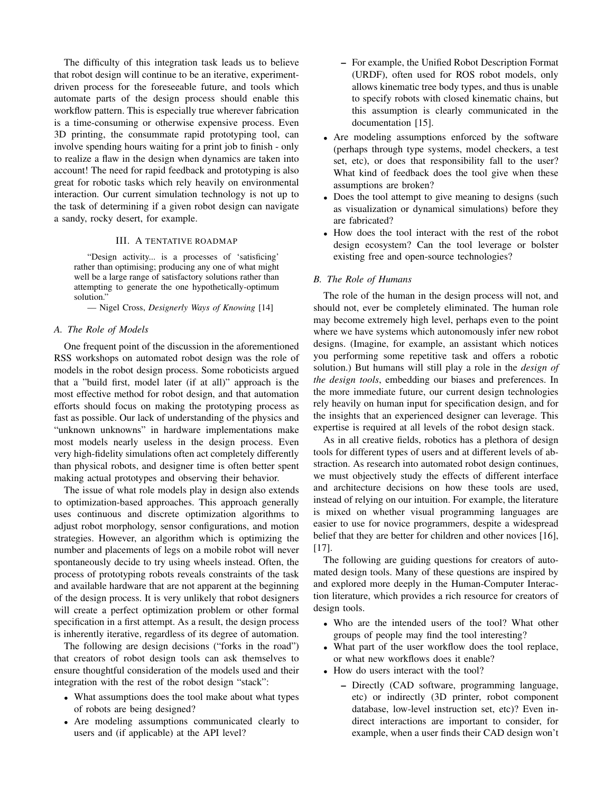The difficulty of this integration task leads us to believe that robot design will continue to be an iterative, experimentdriven process for the foreseeable future, and tools which automate parts of the design process should enable this workflow pattern. This is especially true wherever fabrication is a time-consuming or otherwise expensive process. Even 3D printing, the consummate rapid prototyping tool, can involve spending hours waiting for a print job to finish - only to realize a flaw in the design when dynamics are taken into account! The need for rapid feedback and prototyping is also great for robotic tasks which rely heavily on environmental interaction. Our current simulation technology is not up to the task of determining if a given robot design can navigate a sandy, rocky desert, for example.

## III. A TENTATIVE ROADMAP

"Design activity... is a processes of 'satisficing' rather than optimising; producing any one of what might well be a large range of satisfactory solutions rather than attempting to generate the one hypothetically-optimum solution."

— Nigel Cross, *Designerly Ways of Knowing* [14]

#### *A. The Role of Models*

One frequent point of the discussion in the aforementioned RSS workshops on automated robot design was the role of models in the robot design process. Some roboticists argued that a "build first, model later (if at all)" approach is the most effective method for robot design, and that automation efforts should focus on making the prototyping process as fast as possible. Our lack of understanding of the physics and "unknown unknowns" in hardware implementations make most models nearly useless in the design process. Even very high-fidelity simulations often act completely differently than physical robots, and designer time is often better spent making actual prototypes and observing their behavior.

The issue of what role models play in design also extends to optimization-based approaches. This approach generally uses continuous and discrete optimization algorithms to adjust robot morphology, sensor configurations, and motion strategies. However, an algorithm which is optimizing the number and placements of legs on a mobile robot will never spontaneously decide to try using wheels instead. Often, the process of prototyping robots reveals constraints of the task and available hardware that are not apparent at the beginning of the design process. It is very unlikely that robot designers will create a perfect optimization problem or other formal specification in a first attempt. As a result, the design process is inherently iterative, regardless of its degree of automation.

The following are design decisions ("forks in the road") that creators of robot design tools can ask themselves to ensure thoughtful consideration of the models used and their integration with the rest of the robot design "stack":

- What assumptions does the tool make about what types of robots are being designed?
- Are modeling assumptions communicated clearly to users and (if applicable) at the API level?
- For example, the Unified Robot Description Format (URDF), often used for ROS robot models, only allows kinematic tree body types, and thus is unable to specify robots with closed kinematic chains, but this assumption is clearly communicated in the documentation [15].
- Are modeling assumptions enforced by the software (perhaps through type systems, model checkers, a test set, etc), or does that responsibility fall to the user? What kind of feedback does the tool give when these assumptions are broken?
- Does the tool attempt to give meaning to designs (such as visualization or dynamical simulations) before they are fabricated?
- How does the tool interact with the rest of the robot design ecosystem? Can the tool leverage or bolster existing free and open-source technologies?

#### *B. The Role of Humans*

The role of the human in the design process will not, and should not, ever be completely eliminated. The human role may become extremely high level, perhaps even to the point where we have systems which autonomously infer new robot designs. (Imagine, for example, an assistant which notices you performing some repetitive task and offers a robotic solution.) But humans will still play a role in the *design of the design tools*, embedding our biases and preferences. In the more immediate future, our current design technologies rely heavily on human input for specification design, and for the insights that an experienced designer can leverage. This expertise is required at all levels of the robot design stack.

As in all creative fields, robotics has a plethora of design tools for different types of users and at different levels of abstraction. As research into automated robot design continues, we must objectively study the effects of different interface and architecture decisions on how these tools are used, instead of relying on our intuition. For example, the literature is mixed on whether visual programming languages are easier to use for novice programmers, despite a widespread belief that they are better for children and other novices [16], [17].

The following are guiding questions for creators of automated design tools. Many of these questions are inspired by and explored more deeply in the Human-Computer Interaction literature, which provides a rich resource for creators of design tools.

- Who are the intended users of the tool? What other groups of people may find the tool interesting?
- What part of the user workflow does the tool replace, or what new workflows does it enable?
- How do users interact with the tool?
	- Directly (CAD software, programming language, etc) or indirectly (3D printer, robot component database, low-level instruction set, etc)? Even indirect interactions are important to consider, for example, when a user finds their CAD design won't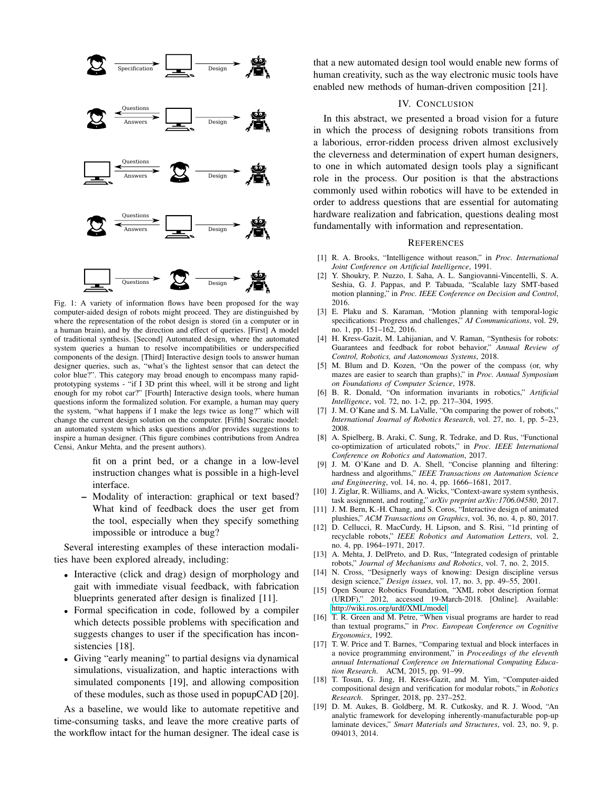

Fig. 1: A variety of information flows have been proposed for the way computer-aided design of robots might proceed. They are distinguished by where the representation of the robot design is stored (in a computer or in a human brain), and by the direction and effect of queries. [First] A model of traditional synthesis. [Second] Automated design, where the automated system queries a human to resolve incompatibilities or underspecified components of the design. [Third] Interactive design tools to answer human designer queries, such as, "what's the lightest sensor that can detect the color blue?". This category may broad enough to encompass many rapidprototyping systems - "if I 3D print this wheel, will it be strong and light enough for my robot car?" [Fourth] Interactive design tools, where human questions inform the formalized solution. For example, a human may query the system, "what happens if I make the legs twice as long?" which will change the current design solution on the computer. [Fifth] Socratic model: an automated system which asks questions and/or provides suggestions to inspire a human designer. (This figure combines contributions from Andrea Censi, Ankur Mehta, and the present authors).

fit on a print bed, or a change in a low-level instruction changes what is possible in a high-level interface.

– Modality of interaction: graphical or text based? What kind of feedback does the user get from the tool, especially when they specify something impossible or introduce a bug?

Several interesting examples of these interaction modalities have been explored already, including:

- Interactive (click and drag) design of morphology and gait with immediate visual feedback, with fabrication blueprints generated after design is finalized [11].
- Formal specification in code, followed by a compiler which detects possible problems with specification and suggests changes to user if the specification has inconsistencies [18].
- Giving "early meaning" to partial designs via dynamical simulations, visualization, and haptic interactions with simulated components [19], and allowing composition of these modules, such as those used in popupCAD [20].

As a baseline, we would like to automate repetitive and time-consuming tasks, and leave the more creative parts of the workflow intact for the human designer. The ideal case is that a new automated design tool would enable new forms of human creativity, such as the way electronic music tools have enabled new methods of human-driven composition [21].

## IV. CONCLUSION

In this abstract, we presented a broad vision for a future in which the process of designing robots transitions from a laborious, error-ridden process driven almost exclusively the cleverness and determination of expert human designers, to one in which automated design tools play a significant role in the process. Our position is that the abstractions commonly used within robotics will have to be extended in order to address questions that are essential for automating hardware realization and fabrication, questions dealing most fundamentally with information and representation.

#### **REFERENCES**

- [1] R. A. Brooks, "Intelligence without reason," in *Proc. International Joint Conference on Artificial Intelligence*, 1991.
- [2] Y. Shoukry, P. Nuzzo, I. Saha, A. L. Sangiovanni-Vincentelli, S. A. Seshia, G. J. Pappas, and P. Tabuada, "Scalable lazy SMT-based motion planning," in *Proc. IEEE Conference on Decision and Control*, 2016.
- [3] E. Plaku and S. Karaman, "Motion planning with temporal-logic specifications: Progress and challenges," *AI Communications*, vol. 29, no. 1, pp. 151–162, 2016.
- [4] H. Kress-Gazit, M. Lahijanian, and V. Raman, "Synthesis for robots: Guarantees and feedback for robot behavior," *Annual Review of Control, Robotics, and Autonomous Systems*, 2018.
- [5] M. Blum and D. Kozen, "On the power of the compass (or, why mazes are easier to search than graphs)," in *Proc. Annual Symposium on Foundations of Computer Science*, 1978.
- [6] B. R. Donald, "On information invariants in robotics," *Artificial Intelligence*, vol. 72, no. 1-2, pp. 217–304, 1995.
- [7] J. M. O'Kane and S. M. LaValle, "On comparing the power of robots," *International Journal of Robotics Research*, vol. 27, no. 1, pp. 5–23, 2008.
- [8] A. Spielberg, B. Araki, C. Sung, R. Tedrake, and D. Rus, "Functional co-optimization of articulated robots," in *Proc. IEEE International Conference on Robotics and Automation*, 2017.
- [9] J. M. O'Kane and D. A. Shell, "Concise planning and filtering: hardness and algorithms," *IEEE Transactions on Automation Science and Engineering*, vol. 14, no. 4, pp. 1666–1681, 2017.
- [10] J. Ziglar, R. Williams, and A. Wicks, "Context-aware system synthesis, task assignment, and routing," *arXiv preprint arXiv:1706.04580*, 2017.
- [11] J. M. Bern, K.-H. Chang, and S. Coros, "Interactive design of animated plushies," *ACM Transactions on Graphics*, vol. 36, no. 4, p. 80, 2017.
- [12] D. Cellucci, R. MacCurdy, H. Lipson, and S. Risi, "1d printing of recyclable robots," *IEEE Robotics and Automation Letters*, vol. 2, no. 4, pp. 1964–1971, 2017.
- [13] A. Mehta, J. DelPreto, and D. Rus, "Integrated codesign of printable robots," *Journal of Mechanisms and Robotics*, vol. 7, no. 2, 2015.
- [14] N. Cross, "Designerly ways of knowing: Design discipline versus design science," *Design issues*, vol. 17, no. 3, pp. 49–55, 2001.
- [15] Open Source Robotics Foundation, "XML robot description format (URDF)," 2012, accessed 19-March-2018. [Online]. Available: <http://wiki.ros.org/urdf/XML/model>
- [16] T. R. Green and M. Petre, "When visual programs are harder to read than textual programs," in *Proc. European Conference on Cognitive Ergonomics*, 1992.
- [17] T. W. Price and T. Barnes, "Comparing textual and block interfaces in a novice programming environment," in *Proceedings of the eleventh annual International Conference on International Computing Education Research*. ACM, 2015, pp. 91–99.
- [18] T. Tosun, G. Jing, H. Kress-Gazit, and M. Yim, "Computer-aided compositional design and verification for modular robots," in *Robotics Research*. Springer, 2018, pp. 237–252.
- [19] D. M. Aukes, B. Goldberg, M. R. Cutkosky, and R. J. Wood, "An analytic framework for developing inherently-manufacturable pop-up laminate devices," *Smart Materials and Structures*, vol. 23, no. 9, p. 094013, 2014.